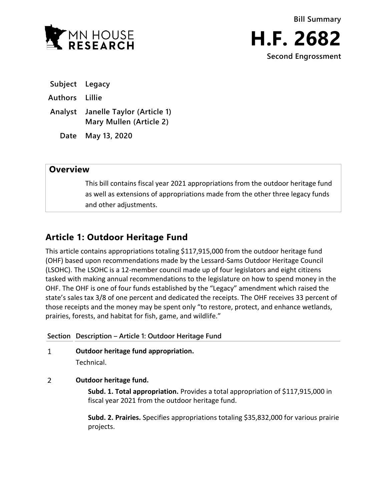



**Subject Legacy**

**Authors Lillie**

**Analyst Janelle Taylor (Article 1) Mary Mullen (Article 2)**

**Date May 13, 2020**

## **Overview**

This bill contains fiscal year 2021 appropriations from the outdoor heritage fund as well as extensions of appropriations made from the other three legacy funds and other adjustments.

## **Article 1: Outdoor Heritage Fund**

This article contains appropriations totaling \$117,915,000 from the outdoor heritage fund (OHF) based upon recommendations made by the Lessard-Sams Outdoor Heritage Council (LSOHC). The LSOHC is a 12-member council made up of four legislators and eight citizens tasked with making annual recommendations to the legislature on how to spend money in the OHF. The OHF is one of four funds established by the "Legacy" amendment which raised the state's sales tax 3/8 of one percent and dedicated the receipts. The OHF receives 33 percent of those receipts and the money may be spent only "to restore, protect, and enhance wetlands, prairies, forests, and habitat for fish, game, and wildlife."

## **Section Description – Article 1: Outdoor Heritage Fund**  $\mathbf{1}$ **Outdoor heritage fund appropriation.** Technical.  $\overline{2}$

# **Outdoor heritage fund.**

**Subd. 1. Total appropriation.** Provides a total appropriation of \$117,915,000 in fiscal year 2021 from the outdoor heritage fund.

**Subd. 2. Prairies.** Specifies appropriations totaling \$35,832,000 for various prairie projects.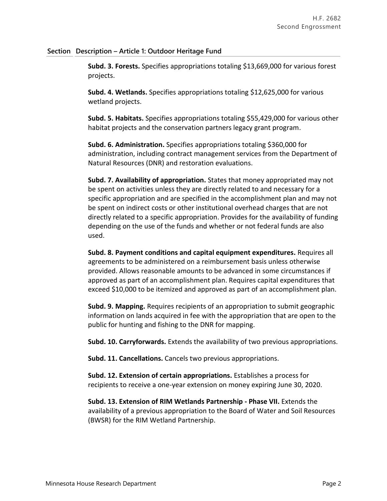### **Section Description – Article 1: Outdoor Heritage Fund**

**Subd. 3. Forests.** Specifies appropriations totaling \$13,669,000 for various forest projects.

**Subd. 4. Wetlands.** Specifies appropriations totaling \$12,625,000 for various wetland projects.

**Subd. 5. Habitats.** Specifies appropriations totaling \$55,429,000 for various other habitat projects and the conservation partners legacy grant program.

**Subd. 6. Administration.** Specifies appropriations totaling \$360,000 for administration, including contract management services from the Department of Natural Resources (DNR) and restoration evaluations.

**Subd. 7. Availability of appropriation.** States that money appropriated may not be spent on activities unless they are directly related to and necessary for a specific appropriation and are specified in the accomplishment plan and may not be spent on indirect costs or other institutional overhead charges that are not directly related to a specific appropriation. Provides for the availability of funding depending on the use of the funds and whether or not federal funds are also used.

**Subd. 8. Payment conditions and capital equipment expenditures.** Requires all agreements to be administered on a reimbursement basis unless otherwise provided. Allows reasonable amounts to be advanced in some circumstances if approved as part of an accomplishment plan. Requires capital expenditures that exceed \$10,000 to be itemized and approved as part of an accomplishment plan.

**Subd. 9. Mapping.** Requires recipients of an appropriation to submit geographic information on lands acquired in fee with the appropriation that are open to the public for hunting and fishing to the DNR for mapping.

**Subd. 10. Carryforwards.** Extends the availability of two previous appropriations.

**Subd. 11. Cancellations.** Cancels two previous appropriations.

**Subd. 12. Extension of certain appropriations.** Establishes a process for recipients to receive a one-year extension on money expiring June 30, 2020.

**Subd. 13. Extension of RIM Wetlands Partnership - Phase VII.** Extends the availability of a previous appropriation to the Board of Water and Soil Resources (BWSR) for the RIM Wetland Partnership.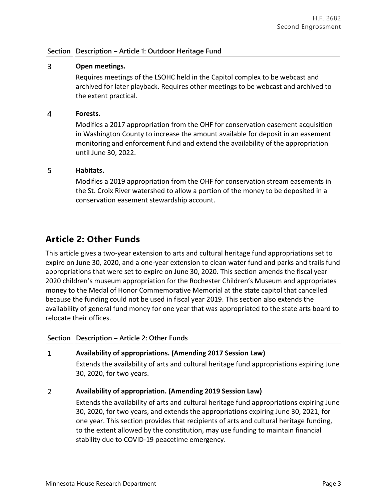## **Section Description – Article 1: Outdoor Heritage Fund**

### $\overline{3}$ **Open meetings.**

Requires meetings of the LSOHC held in the Capitol complex to be webcast and archived for later playback. Requires other meetings to be webcast and archived to the extent practical.

#### $\overline{4}$ **Forests.**

Modifies a 2017 appropriation from the OHF for conservation easement acquisition in Washington County to increase the amount available for deposit in an easement monitoring and enforcement fund and extend the availability of the appropriation until June 30, 2022.

### 5 **Habitats.**

Modifies a 2019 appropriation from the OHF for conservation stream easements in the St. Croix River watershed to allow a portion of the money to be deposited in a conservation easement stewardship account.

## **Article 2: Other Funds**

This article gives a two-year extension to arts and cultural heritage fund appropriations set to expire on June 30, 2020, and a one-year extension to clean water fund and parks and trails fund appropriations that were set to expire on June 30, 2020. This section amends the fiscal year 2020 children's museum appropriation for the Rochester Children's Museum and appropriates money to the Medal of Honor Commemorative Memorial at the state capitol that cancelled because the funding could not be used in fiscal year 2019. This section also extends the availability of general fund money for one year that was appropriated to the state arts board to relocate their offices.

## **Section Description – Article 2: Other Funds**

### $\mathbf{1}$ **Availability of appropriations. (Amending 2017 Session Law)**

Extends the availability of arts and cultural heritage fund appropriations expiring June 30, 2020, for two years.

### $\overline{2}$ **Availability of appropriation. (Amending 2019 Session Law)**

Extends the availability of arts and cultural heritage fund appropriations expiring June 30, 2020, for two years, and extends the appropriations expiring June 30, 2021, for one year. This section provides that recipients of arts and cultural heritage funding, to the extent allowed by the constitution, may use funding to maintain financial stability due to COVID-19 peacetime emergency.